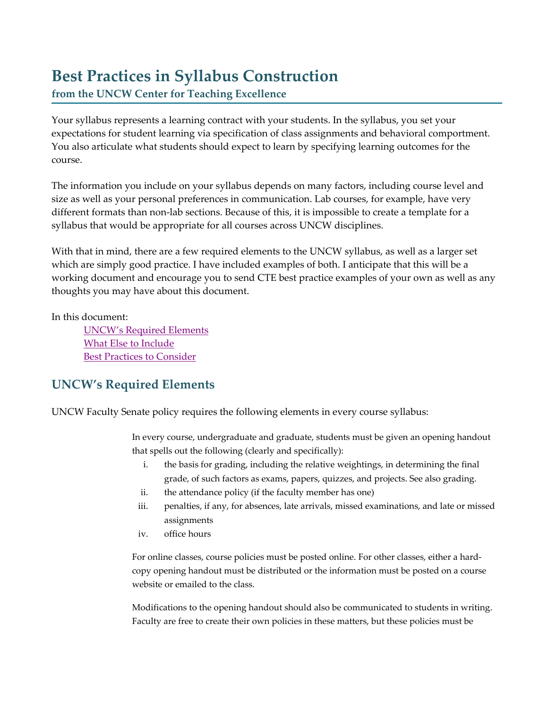## **Best Practices in Syllabus Construction**

**from the UNCW Center for Teaching Excellence**

Your syllabus represents a learning contract with your students. In the syllabus, you set your expectations for student learning via specification of class assignments and behavioral comportment. You also articulate what students should expect to learn by specifying learning outcomes for the course.

The information you include on your syllabus depends on many factors, including course level and size as well as your personal preferences in communication. Lab courses, for example, have very different formats than non-lab sections. Because of this, it is impossible to create a template for a syllabus that would be appropriate for all courses across UNCW disciplines.

With that in mind, there are a few required elements to the UNCW syllabus, as well as a larger set which are simply good practice. I have included examples of both. I anticipate that this will be a working document and encourage you to send CTE best practice examples of your own as well as any thoughts you may have about this document.

In this document:

[UNCW's Required Elements](#page-0-0) [What Else to Include](#page-1-0) [Best Practices to Consider](#page-3-0)

## <span id="page-0-0"></span>**UNCW's Required Elements**

UNCW Faculty Senate policy requires the following elements in every course syllabus:

In every course, undergraduate and graduate, students must be given an opening handout that spells out the following (clearly and specifically):

- i. the basis for grading, including the relative weightings, in determining the final grade, of such factors as exams, papers, quizzes, and projects. See also grading.
- ii. the attendance policy (if the faculty member has one)
- iii. penalties, if any, for absences, late arrivals, missed examinations, and late or missed assignments
- iv. office hours

For online classes, course policies must be posted online. For other classes, either a hardcopy opening handout must be distributed or the information must be posted on a course website or emailed to the class.

Modifications to the opening handout should also be communicated to students in writing. Faculty are free to create their own policies in these matters, but these policies must be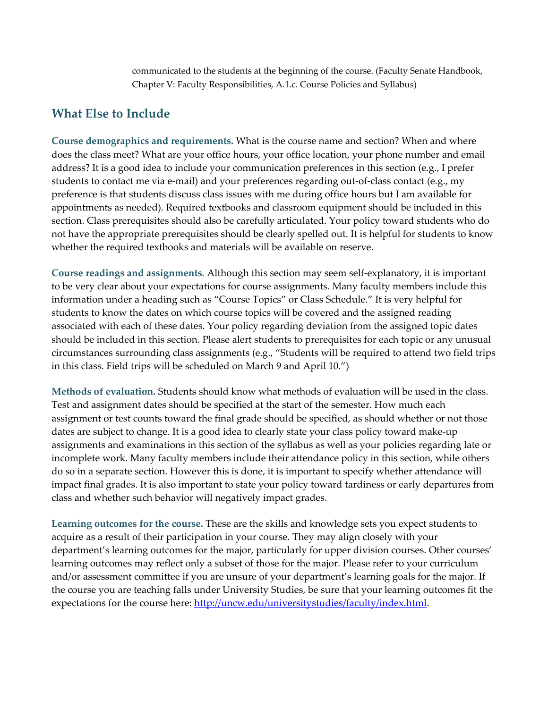communicated to the students at the beginning of the course. (Faculty Senate Handbook, Chapter V: Faculty Responsibilities, A.1.c. Course Policies and Syllabus)

## <span id="page-1-0"></span>**What Else to Include**

**Course demographics and requirements.** What is the course name and section? When and where does the class meet? What are your office hours, your office location, your phone number and email address? It is a good idea to include your communication preferences in this section (e.g., I prefer students to contact me via e-mail) and your preferences regarding out-of-class contact (e.g., my preference is that students discuss class issues with me during office hours but I am available for appointments as needed). Required textbooks and classroom equipment should be included in this section. Class prerequisites should also be carefully articulated. Your policy toward students who do not have the appropriate prerequisites should be clearly spelled out. It is helpful for students to know whether the required textbooks and materials will be available on reserve.

**Course readings and assignments.** Although this section may seem self-explanatory, it is important to be very clear about your expectations for course assignments. Many faculty members include this information under a heading such as "Course Topics" or Class Schedule." It is very helpful for students to know the dates on which course topics will be covered and the assigned reading associated with each of these dates. Your policy regarding deviation from the assigned topic dates should be included in this section. Please alert students to prerequisites for each topic or any unusual circumstances surrounding class assignments (e.g., "Students will be required to attend two field trips in this class. Field trips will be scheduled on March 9 and April 10.")

**Methods of evaluation.** Students should know what methods of evaluation will be used in the class. Test and assignment dates should be specified at the start of the semester. How much each assignment or test counts toward the final grade should be specified, as should whether or not those dates are subject to change. It is a good idea to clearly state your class policy toward make-up assignments and examinations in this section of the syllabus as well as your policies regarding late or incomplete work. Many faculty members include their attendance policy in this section, while others do so in a separate section. However this is done, it is important to specify whether attendance will impact final grades. It is also important to state your policy toward tardiness or early departures from class and whether such behavior will negatively impact grades.

**Learning outcomes for the course.** These are the skills and knowledge sets you expect students to acquire as a result of their participation in your course. They may align closely with your department's learning outcomes for the major, particularly for upper division courses. Other courses' learning outcomes may reflect only a subset of those for the major. Please refer to your curriculum and/or assessment committee if you are unsure of your department's learning goals for the major. If the course you are teaching falls under University Studies, be sure that your learning outcomes fit the expectations for the course here: [http://uncw.edu/universitystudies/faculty/index.html.](http://uncw.edu/universitystudies/faculty/index.html)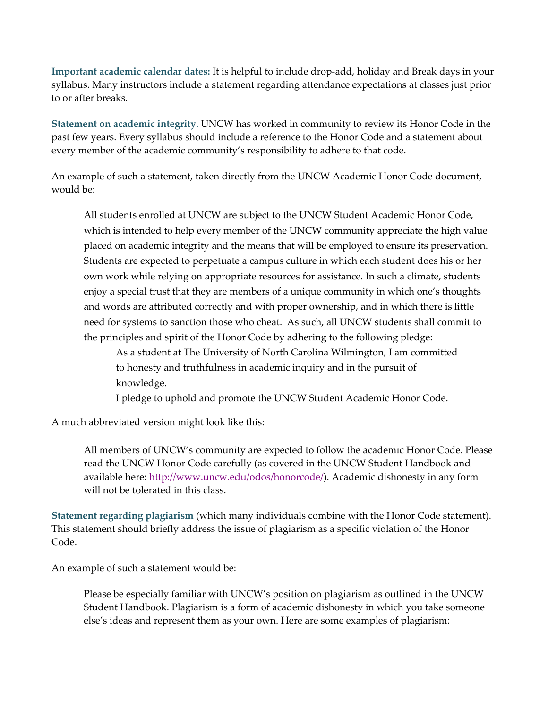**Important academic calendar dates:** It is helpful to include drop-add, holiday and Break days in your syllabus. Many instructors include a statement regarding attendance expectations at classes just prior to or after breaks.

**Statement on academic integrity.** UNCW has worked in community to review its Honor Code in the past few years. Every syllabus should include a reference to the Honor Code and a statement about every member of the academic community's responsibility to adhere to that code.

An example of such a statement, taken directly from the UNCW Academic Honor Code document, would be:

All students enrolled at UNCW are subject to the UNCW Student Academic Honor Code, which is intended to help every member of the UNCW community appreciate the high value placed on academic integrity and the means that will be employed to ensure its preservation. Students are expected to perpetuate a campus culture in which each student does his or her own work while relying on appropriate resources for assistance. In such a climate, students enjoy a special trust that they are members of a unique community in which one's thoughts and words are attributed correctly and with proper ownership, and in which there is little need for systems to sanction those who cheat. As such, all UNCW students shall commit to the principles and spirit of the Honor Code by adhering to the following pledge:

As a student at The University of North Carolina Wilmington, I am committed to honesty and truthfulness in academic inquiry and in the pursuit of knowledge.

I pledge to uphold and promote the UNCW Student Academic Honor Code.

A much abbreviated version might look like this:

All members of UNCW's community are expected to follow the academic Honor Code. Please read the UNCW Honor Code carefully (as covered in the UNCW Student Handbook and available here: [http://www.uncw.edu/odos/honorcode/\)](http://www.uncw.edu/odos/honorcode/). Academic dishonesty in any form will not be tolerated in this class.

**Statement regarding plagiarism** (which many individuals combine with the Honor Code statement). This statement should briefly address the issue of plagiarism as a specific violation of the Honor Code.

An example of such a statement would be:

Please be especially familiar with UNCW's position on plagiarism as outlined in the UNCW Student Handbook. Plagiarism is a form of academic dishonesty in which you take someone else's ideas and represent them as your own. Here are some examples of plagiarism: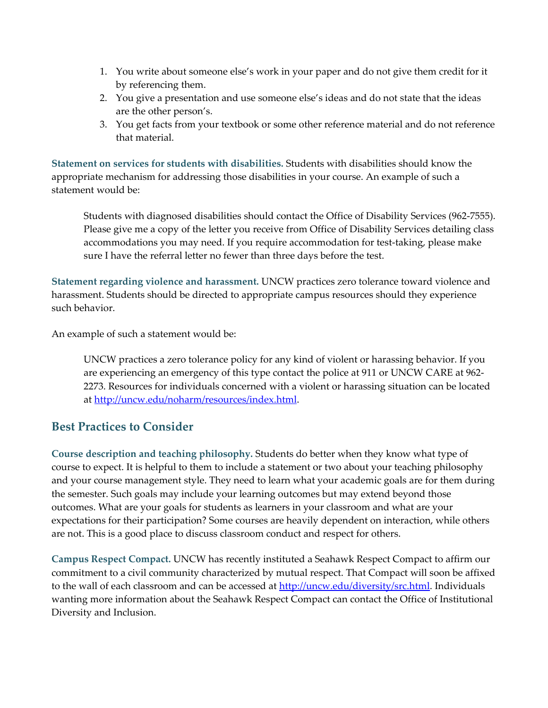- 1. You write about someone else's work in your paper and do not give them credit for it by referencing them.
- 2. You give a presentation and use someone else's ideas and do not state that the ideas are the other person's.
- 3. You get facts from your textbook or some other reference material and do not reference that material.

**Statement on services for students with disabilities.** Students with disabilities should know the appropriate mechanism for addressing those disabilities in your course. An example of such a statement would be:

Students with diagnosed disabilities should contact the Office of Disability Services (962-7555). Please give me a copy of the letter you receive from Office of Disability Services detailing class accommodations you may need. If you require accommodation for test-taking, please make sure I have the referral letter no fewer than three days before the test.

**Statement regarding violence and harassment.** UNCW practices zero tolerance toward violence and harassment. Students should be directed to appropriate campus resources should they experience such behavior.

An example of such a statement would be:

UNCW practices a zero tolerance policy for any kind of violent or harassing behavior. If you are experiencing an emergency of this type contact the police at 911 or UNCW CARE at 962- 2273. Resources for individuals concerned with a violent or harassing situation can be located at [http://uncw.edu/noharm/resources/index.html.](http://uncw.edu/noharm/resources/index.html)

## <span id="page-3-0"></span>**Best Practices to Consider**

**Course description and teaching philosophy.** Students do better when they know what type of course to expect. It is helpful to them to include a statement or two about your teaching philosophy and your course management style. They need to learn what your academic goals are for them during the semester. Such goals may include your learning outcomes but may extend beyond those outcomes. What are your goals for students as learners in your classroom and what are your expectations for their participation? Some courses are heavily dependent on interaction, while others are not. This is a good place to discuss classroom conduct and respect for others.

**Campus Respect Compact.** UNCW has recently instituted a Seahawk Respect Compact to affirm our commitment to a civil community characterized by mutual respect. That Compact will soon be affixed to the wall of each classroom and can be accessed at [http://uncw.edu/diversity/src.html.](http://uncw.edu/diversity/src.html) Individuals wanting more information about the Seahawk Respect Compact can contact the Office of Institutional Diversity and Inclusion.